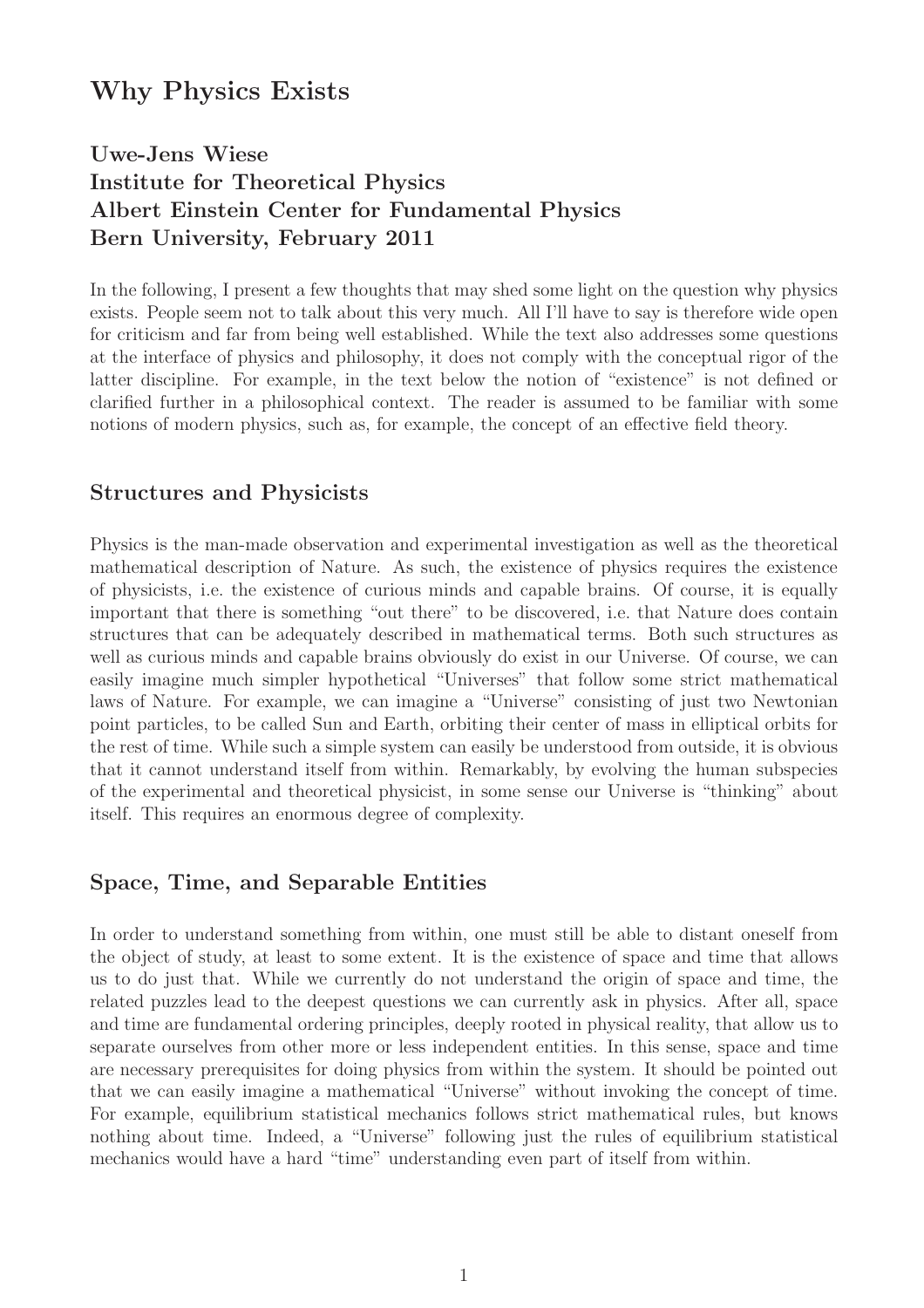# Why Physics Exists

# Uwe-Jens Wiese Institute for Theoretical Physics Albert Einstein Center for Fundamental Physics Bern University, February 2011

In the following, I present a few thoughts that may shed some light on the question why physics exists. People seem not to talk about this very much. All I'll have to say is therefore wide open for criticism and far from being well established. While the text also addresses some questions at the interface of physics and philosophy, it does not comply with the conceptual rigor of the latter discipline. For example, in the text below the notion of "existence" is not defined or clarified further in a philosophical context. The reader is assumed to be familiar with some notions of modern physics, such as, for example, the concept of an effective field theory.

### Structures and Physicists

Physics is the man-made observation and experimental investigation as well as the theoretical mathematical description of Nature. As such, the existence of physics requires the existence of physicists, i.e. the existence of curious minds and capable brains. Of course, it is equally important that there is something "out there" to be discovered, i.e. that Nature does contain structures that can be adequately described in mathematical terms. Both such structures as well as curious minds and capable brains obviously do exist in our Universe. Of course, we can easily imagine much simpler hypothetical "Universes" that follow some strict mathematical laws of Nature. For example, we can imagine a "Universe" consisting of just two Newtonian point particles, to be called Sun and Earth, orbiting their center of mass in elliptical orbits for the rest of time. While such a simple system can easily be understood from outside, it is obvious that it cannot understand itself from within. Remarkably, by evolving the human subspecies of the experimental and theoretical physicist, in some sense our Universe is "thinking" about itself. This requires an enormous degree of complexity.

### Space, Time, and Separable Entities

In order to understand something from within, one must still be able to distant oneself from the object of study, at least to some extent. It is the existence of space and time that allows us to do just that. While we currently do not understand the origin of space and time, the related puzzles lead to the deepest questions we can currently ask in physics. After all, space and time are fundamental ordering principles, deeply rooted in physical reality, that allow us to separate ourselves from other more or less independent entities. In this sense, space and time are necessary prerequisites for doing physics from within the system. It should be pointed out that we can easily imagine a mathematical "Universe" without invoking the concept of time. For example, equilibrium statistical mechanics follows strict mathematical rules, but knows nothing about time. Indeed, a "Universe" following just the rules of equilibrium statistical mechanics would have a hard "time" understanding even part of itself from within.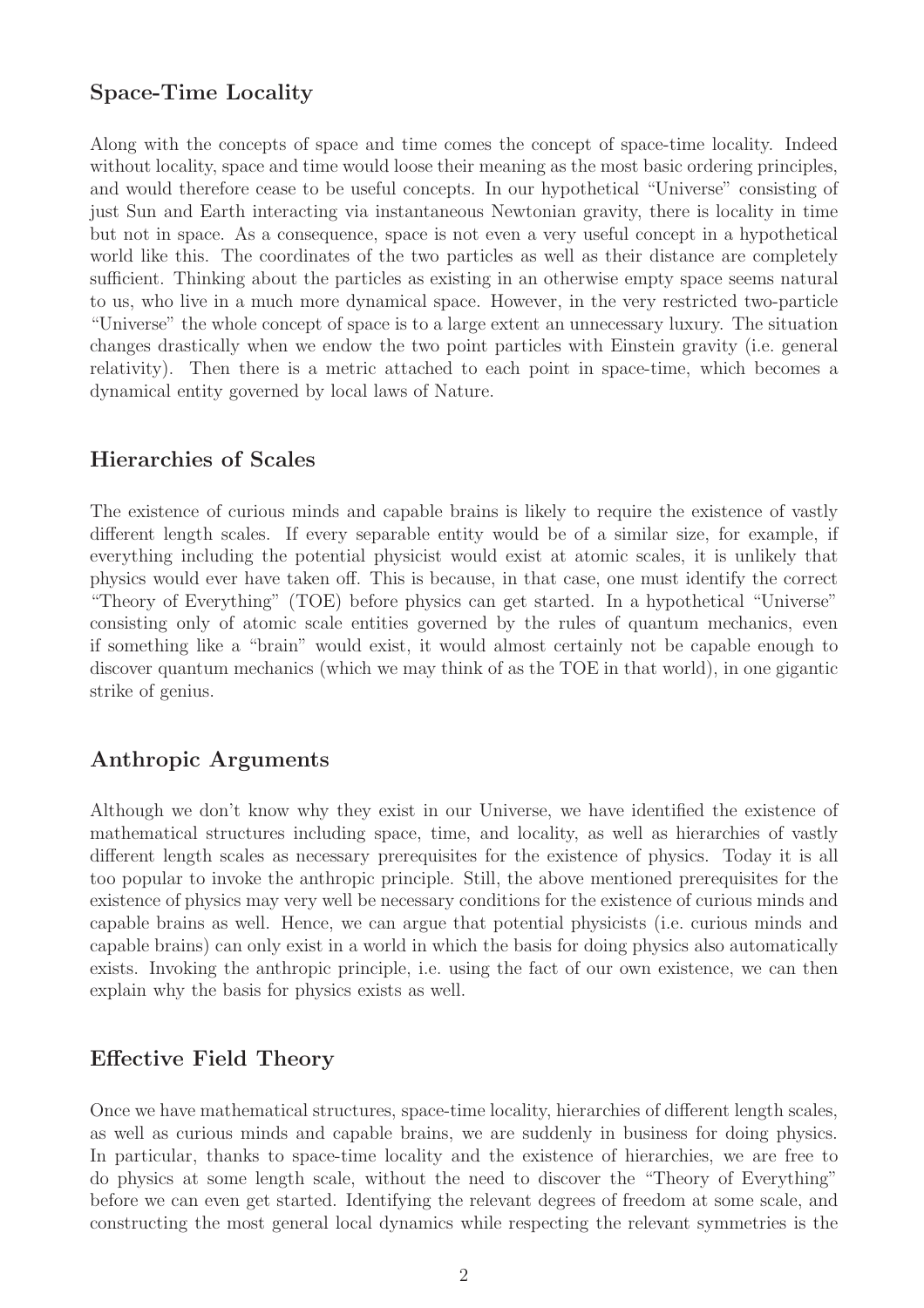### Space-Time Locality

Along with the concepts of space and time comes the concept of space-time locality. Indeed without locality, space and time would loose their meaning as the most basic ordering principles, and would therefore cease to be useful concepts. In our hypothetical "Universe" consisting of just Sun and Earth interacting via instantaneous Newtonian gravity, there is locality in time but not in space. As a consequence, space is not even a very useful concept in a hypothetical world like this. The coordinates of the two particles as well as their distance are completely sufficient. Thinking about the particles as existing in an otherwise empty space seems natural to us, who live in a much more dynamical space. However, in the very restricted two-particle "Universe" the whole concept of space is to a large extent an unnecessary luxury. The situation changes drastically when we endow the two point particles with Einstein gravity (i.e. general relativity). Then there is a metric attached to each point in space-time, which becomes a dynamical entity governed by local laws of Nature.

#### Hierarchies of Scales

The existence of curious minds and capable brains is likely to require the existence of vastly different length scales. If every separable entity would be of a similar size, for example, if everything including the potential physicist would exist at atomic scales, it is unlikely that physics would ever have taken off. This is because, in that case, one must identify the correct "Theory of Everything" (TOE) before physics can get started. In a hypothetical "Universe" consisting only of atomic scale entities governed by the rules of quantum mechanics, even if something like a "brain" would exist, it would almost certainly not be capable enough to discover quantum mechanics (which we may think of as the TOE in that world), in one gigantic strike of genius.

#### Anthropic Arguments

Although we don't know why they exist in our Universe, we have identified the existence of mathematical structures including space, time, and locality, as well as hierarchies of vastly different length scales as necessary prerequisites for the existence of physics. Today it is all too popular to invoke the anthropic principle. Still, the above mentioned prerequisites for the existence of physics may very well be necessary conditions for the existence of curious minds and capable brains as well. Hence, we can argue that potential physicists (i.e. curious minds and capable brains) can only exist in a world in which the basis for doing physics also automatically exists. Invoking the anthropic principle, i.e. using the fact of our own existence, we can then explain why the basis for physics exists as well.

#### Effective Field Theory

Once we have mathematical structures, space-time locality, hierarchies of different length scales, as well as curious minds and capable brains, we are suddenly in business for doing physics. In particular, thanks to space-time locality and the existence of hierarchies, we are free to do physics at some length scale, without the need to discover the "Theory of Everything" before we can even get started. Identifying the relevant degrees of freedom at some scale, and constructing the most general local dynamics while respecting the relevant symmetries is the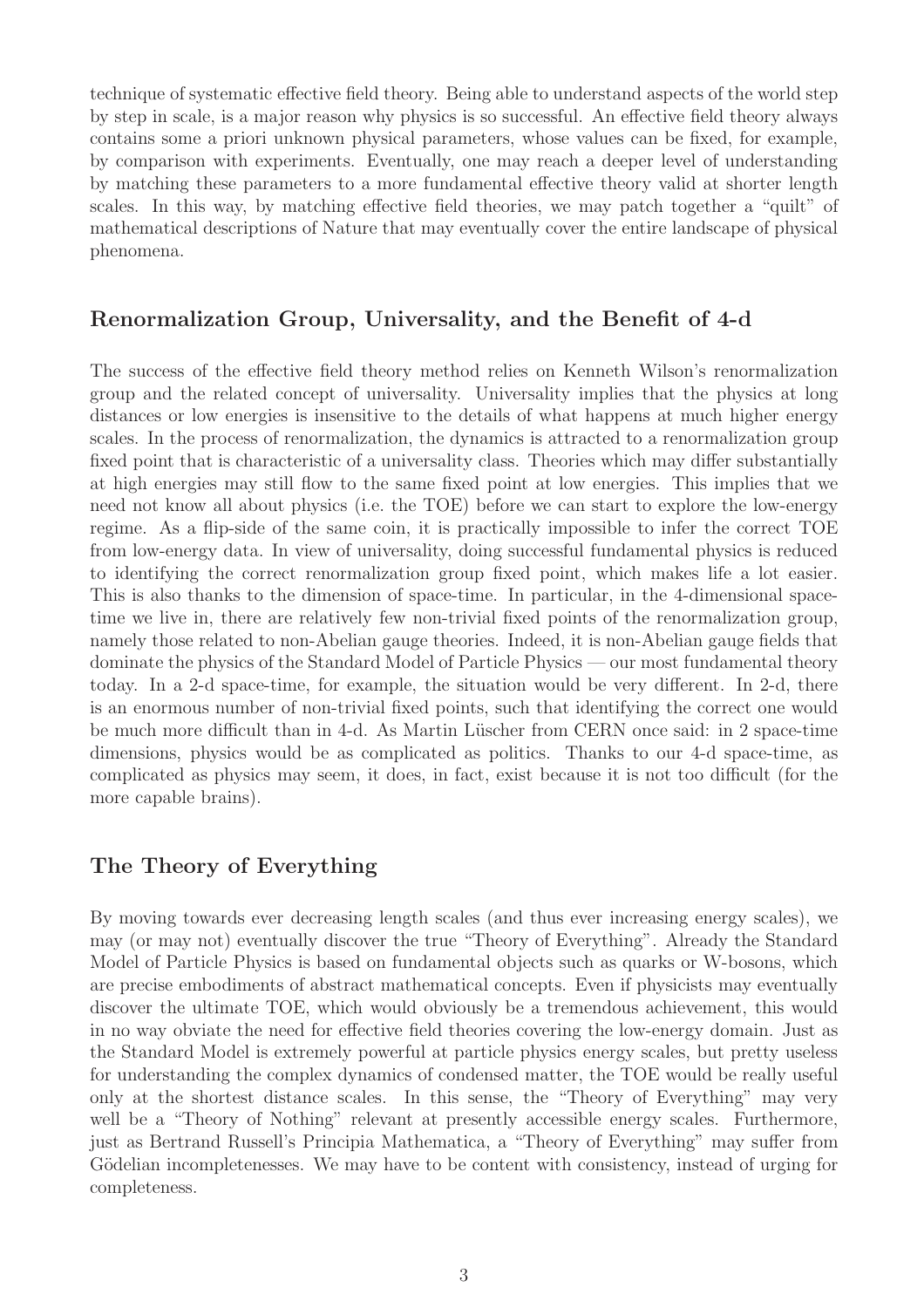technique of systematic effective field theory. Being able to understand aspects of the world step by step in scale, is a major reason why physics is so successful. An effective field theory always contains some a priori unknown physical parameters, whose values can be fixed, for example, by comparison with experiments. Eventually, one may reach a deeper level of understanding by matching these parameters to a more fundamental effective theory valid at shorter length scales. In this way, by matching effective field theories, we may patch together a "quilt" of mathematical descriptions of Nature that may eventually cover the entire landscape of physical phenomena.

### Renormalization Group, Universality, and the Benefit of 4-d

The success of the effective field theory method relies on Kenneth Wilson's renormalization group and the related concept of universality. Universality implies that the physics at long distances or low energies is insensitive to the details of what happens at much higher energy scales. In the process of renormalization, the dynamics is attracted to a renormalization group fixed point that is characteristic of a universality class. Theories which may differ substantially at high energies may still flow to the same fixed point at low energies. This implies that we need not know all about physics (i.e. the TOE) before we can start to explore the low-energy regime. As a flip-side of the same coin, it is practically impossible to infer the correct TOE from low-energy data. In view of universality, doing successful fundamental physics is reduced to identifying the correct renormalization group fixed point, which makes life a lot easier. This is also thanks to the dimension of space-time. In particular, in the 4-dimensional spacetime we live in, there are relatively few non-trivial fixed points of the renormalization group, namely those related to non-Abelian gauge theories. Indeed, it is non-Abelian gauge fields that dominate the physics of the Standard Model of Particle Physics — our most fundamental theory today. In a 2-d space-time, for example, the situation would be very different. In 2-d, there is an enormous number of non-trivial fixed points, such that identifying the correct one would be much more difficult than in 4-d. As Martin Lüscher from CERN once said: in 2 space-time dimensions, physics would be as complicated as politics. Thanks to our 4-d space-time, as complicated as physics may seem, it does, in fact, exist because it is not too difficult (for the more capable brains).

### The Theory of Everything

By moving towards ever decreasing length scales (and thus ever increasing energy scales), we may (or may not) eventually discover the true "Theory of Everything". Already the Standard Model of Particle Physics is based on fundamental objects such as quarks or W-bosons, which are precise embodiments of abstract mathematical concepts. Even if physicists may eventually discover the ultimate TOE, which would obviously be a tremendous achievement, this would in no way obviate the need for effective field theories covering the low-energy domain. Just as the Standard Model is extremely powerful at particle physics energy scales, but pretty useless for understanding the complex dynamics of condensed matter, the TOE would be really useful only at the shortest distance scales. In this sense, the "Theory of Everything" may very well be a "Theory of Nothing" relevant at presently accessible energy scales. Furthermore, just as Bertrand Russell's Principia Mathematica, a "Theory of Everything" may suffer from Gödelian incompletenesses. We may have to be content with consistency, instead of urging for completeness.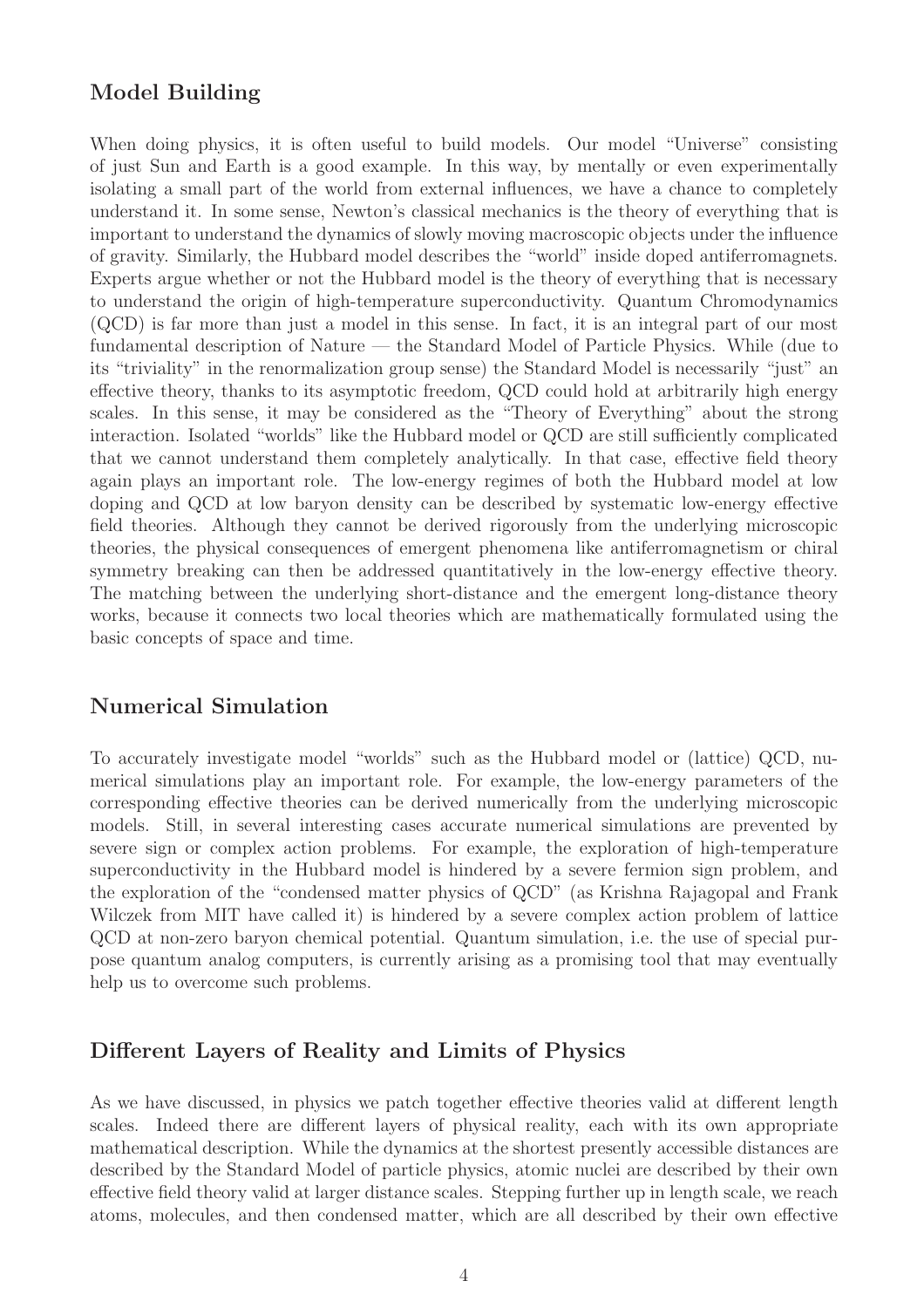# Model Building

When doing physics, it is often useful to build models. Our model "Universe" consisting of just Sun and Earth is a good example. In this way, by mentally or even experimentally isolating a small part of the world from external influences, we have a chance to completely understand it. In some sense, Newton's classical mechanics is the theory of everything that is important to understand the dynamics of slowly moving macroscopic objects under the influence of gravity. Similarly, the Hubbard model describes the "world" inside doped antiferromagnets. Experts argue whether or not the Hubbard model is the theory of everything that is necessary to understand the origin of high-temperature superconductivity. Quantum Chromodynamics (QCD) is far more than just a model in this sense. In fact, it is an integral part of our most fundamental description of Nature — the Standard Model of Particle Physics. While (due to its "triviality" in the renormalization group sense) the Standard Model is necessarily "just" an effective theory, thanks to its asymptotic freedom, QCD could hold at arbitrarily high energy scales. In this sense, it may be considered as the "Theory of Everything" about the strong interaction. Isolated "worlds" like the Hubbard model or QCD are still sufficiently complicated that we cannot understand them completely analytically. In that case, effective field theory again plays an important role. The low-energy regimes of both the Hubbard model at low doping and QCD at low baryon density can be described by systematic low-energy effective field theories. Although they cannot be derived rigorously from the underlying microscopic theories, the physical consequences of emergent phenomena like antiferromagnetism or chiral symmetry breaking can then be addressed quantitatively in the low-energy effective theory. The matching between the underlying short-distance and the emergent long-distance theory works, because it connects two local theories which are mathematically formulated using the basic concepts of space and time.

### Numerical Simulation

To accurately investigate model "worlds" such as the Hubbard model or (lattice) QCD, numerical simulations play an important role. For example, the low-energy parameters of the corresponding effective theories can be derived numerically from the underlying microscopic models. Still, in several interesting cases accurate numerical simulations are prevented by severe sign or complex action problems. For example, the exploration of high-temperature superconductivity in the Hubbard model is hindered by a severe fermion sign problem, and the exploration of the "condensed matter physics of QCD" (as Krishna Rajagopal and Frank Wilczek from MIT have called it) is hindered by a severe complex action problem of lattice QCD at non-zero baryon chemical potential. Quantum simulation, i.e. the use of special purpose quantum analog computers, is currently arising as a promising tool that may eventually help us to overcome such problems.

### Different Layers of Reality and Limits of Physics

As we have discussed, in physics we patch together effective theories valid at different length scales. Indeed there are different layers of physical reality, each with its own appropriate mathematical description. While the dynamics at the shortest presently accessible distances are described by the Standard Model of particle physics, atomic nuclei are described by their own effective field theory valid at larger distance scales. Stepping further up in length scale, we reach atoms, molecules, and then condensed matter, which are all described by their own effective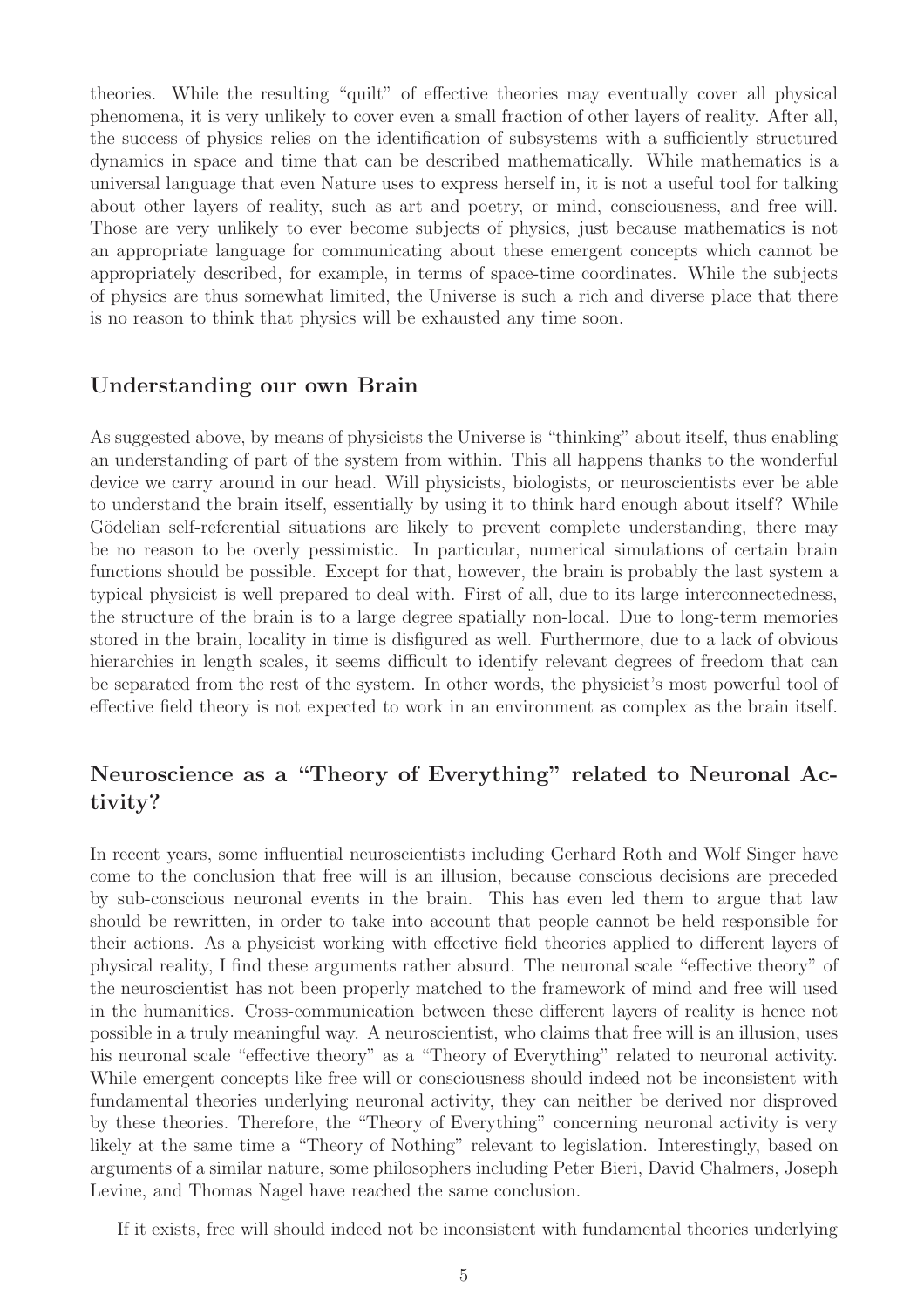theories. While the resulting "quilt" of effective theories may eventually cover all physical phenomena, it is very unlikely to cover even a small fraction of other layers of reality. After all, the success of physics relies on the identification of subsystems with a sufficiently structured dynamics in space and time that can be described mathematically. While mathematics is a universal language that even Nature uses to express herself in, it is not a useful tool for talking about other layers of reality, such as art and poetry, or mind, consciousness, and free will. Those are very unlikely to ever become subjects of physics, just because mathematics is not an appropriate language for communicating about these emergent concepts which cannot be appropriately described, for example, in terms of space-time coordinates. While the subjects of physics are thus somewhat limited, the Universe is such a rich and diverse place that there is no reason to think that physics will be exhausted any time soon.

## Understanding our own Brain

As suggested above, by means of physicists the Universe is "thinking" about itself, thus enabling an understanding of part of the system from within. This all happens thanks to the wonderful device we carry around in our head. Will physicists, biologists, or neuroscientists ever be able to understand the brain itself, essentially by using it to think hard enough about itself? While Gödelian self-referential situations are likely to prevent complete understanding, there may be no reason to be overly pessimistic. In particular, numerical simulations of certain brain functions should be possible. Except for that, however, the brain is probably the last system a typical physicist is well prepared to deal with. First of all, due to its large interconnectedness, the structure of the brain is to a large degree spatially non-local. Due to long-term memories stored in the brain, locality in time is disfigured as well. Furthermore, due to a lack of obvious hierarchies in length scales, it seems difficult to identify relevant degrees of freedom that can be separated from the rest of the system. In other words, the physicist's most powerful tool of effective field theory is not expected to work in an environment as complex as the brain itself.

# Neuroscience as a "Theory of Everything" related to Neuronal Activity?

In recent years, some influential neuroscientists including Gerhard Roth and Wolf Singer have come to the conclusion that free will is an illusion, because conscious decisions are preceded by sub-conscious neuronal events in the brain. This has even led them to argue that law should be rewritten, in order to take into account that people cannot be held responsible for their actions. As a physicist working with effective field theories applied to different layers of physical reality, I find these arguments rather absurd. The neuronal scale "effective theory" of the neuroscientist has not been properly matched to the framework of mind and free will used in the humanities. Cross-communication between these different layers of reality is hence not possible in a truly meaningful way. A neuroscientist, who claims that free will is an illusion, uses his neuronal scale "effective theory" as a "Theory of Everything" related to neuronal activity. While emergent concepts like free will or consciousness should indeed not be inconsistent with fundamental theories underlying neuronal activity, they can neither be derived nor disproved by these theories. Therefore, the "Theory of Everything" concerning neuronal activity is very likely at the same time a "Theory of Nothing" relevant to legislation. Interestingly, based on arguments of a similar nature, some philosophers including Peter Bieri, David Chalmers, Joseph Levine, and Thomas Nagel have reached the same conclusion.

If it exists, free will should indeed not be inconsistent with fundamental theories underlying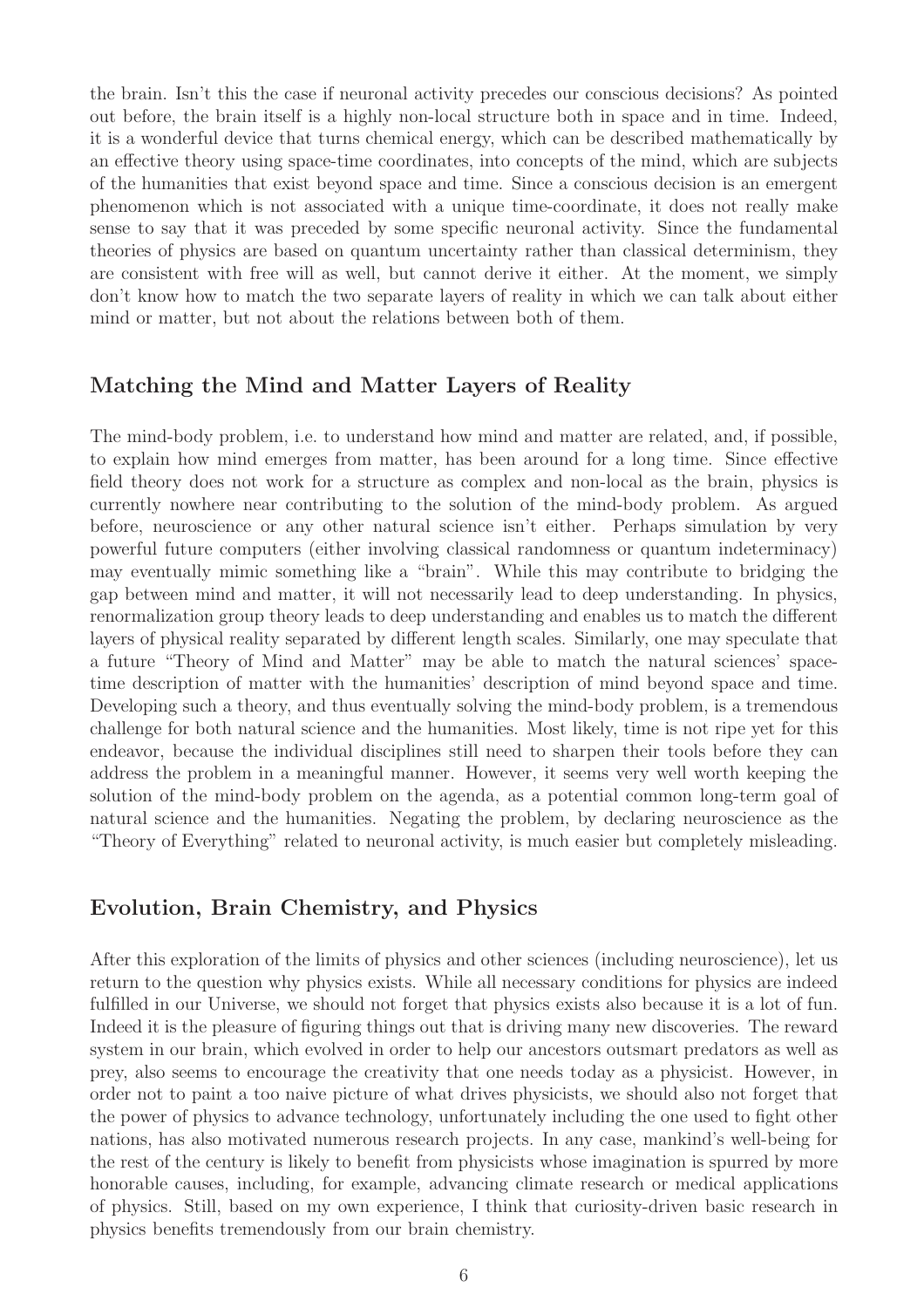the brain. Isn't this the case if neuronal activity precedes our conscious decisions? As pointed out before, the brain itself is a highly non-local structure both in space and in time. Indeed, it is a wonderful device that turns chemical energy, which can be described mathematically by an effective theory using space-time coordinates, into concepts of the mind, which are subjects of the humanities that exist beyond space and time. Since a conscious decision is an emergent phenomenon which is not associated with a unique time-coordinate, it does not really make sense to say that it was preceded by some specific neuronal activity. Since the fundamental theories of physics are based on quantum uncertainty rather than classical determinism, they are consistent with free will as well, but cannot derive it either. At the moment, we simply don't know how to match the two separate layers of reality in which we can talk about either mind or matter, but not about the relations between both of them.

### Matching the Mind and Matter Layers of Reality

The mind-body problem, i.e. to understand how mind and matter are related, and, if possible, to explain how mind emerges from matter, has been around for a long time. Since effective field theory does not work for a structure as complex and non-local as the brain, physics is currently nowhere near contributing to the solution of the mind-body problem. As argued before, neuroscience or any other natural science isn't either. Perhaps simulation by very powerful future computers (either involving classical randomness or quantum indeterminacy) may eventually mimic something like a "brain". While this may contribute to bridging the gap between mind and matter, it will not necessarily lead to deep understanding. In physics, renormalization group theory leads to deep understanding and enables us to match the different layers of physical reality separated by different length scales. Similarly, one may speculate that a future "Theory of Mind and Matter" may be able to match the natural sciences' spacetime description of matter with the humanities' description of mind beyond space and time. Developing such a theory, and thus eventually solving the mind-body problem, is a tremendous challenge for both natural science and the humanities. Most likely, time is not ripe yet for this endeavor, because the individual disciplines still need to sharpen their tools before they can address the problem in a meaningful manner. However, it seems very well worth keeping the solution of the mind-body problem on the agenda, as a potential common long-term goal of natural science and the humanities. Negating the problem, by declaring neuroscience as the "Theory of Everything" related to neuronal activity, is much easier but completely misleading.

#### Evolution, Brain Chemistry, and Physics

After this exploration of the limits of physics and other sciences (including neuroscience), let us return to the question why physics exists. While all necessary conditions for physics are indeed fulfilled in our Universe, we should not forget that physics exists also because it is a lot of fun. Indeed it is the pleasure of figuring things out that is driving many new discoveries. The reward system in our brain, which evolved in order to help our ancestors outsmart predators as well as prey, also seems to encourage the creativity that one needs today as a physicist. However, in order not to paint a too naive picture of what drives physicists, we should also not forget that the power of physics to advance technology, unfortunately including the one used to fight other nations, has also motivated numerous research projects. In any case, mankind's well-being for the rest of the century is likely to benefit from physicists whose imagination is spurred by more honorable causes, including, for example, advancing climate research or medical applications of physics. Still, based on my own experience, I think that curiosity-driven basic research in physics benefits tremendously from our brain chemistry.